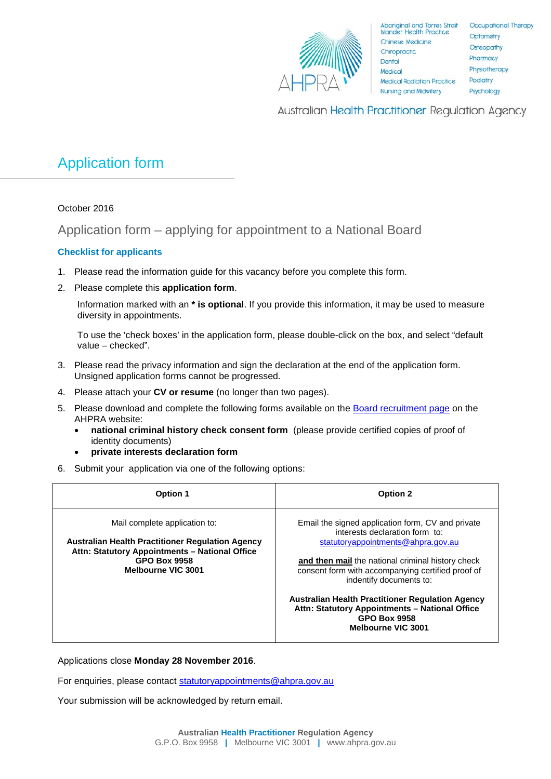

Aboriginal and Torres Strait<br>Islander Health Practice Chinese Medicine Chiropractic Dental Medical **Medical Radiation Practice Nursing and Midwifery** 

Occupational Therapy Optometry Osteopathy Pharmacy Physiotherapy Podiatry Psychology

Australian Health Practitioner Regulation Agency

## Application form

October 2016

Application form – applying for appointment to a National Board

## **Checklist for applicants**

- 1. Please read the information guide for this vacancy before you complete this form.
- 2. Please complete this **application form**.

Information marked with an **\* is optional**. If you provide this information, it may be used to measure diversity in appointments.

To use the 'check boxes' in the application form, please double-click on the box, and select "default value – checked".

- 3. Please read the privacy information and sign the declaration at the end of the application form. Unsigned application forms cannot be progressed.
- 4. Please attach your **CV or resume** (no longer than two pages).
- 5. Please download and complete the following forms available on the [Board recruitment page](http://www.ahpra.gov.au/National-Boards/Board-member-recruitment.aspx) on the AHPRA website:
	- **national criminal history check consent form** (please provide certified copies of proof of identity documents)
	- **private interests declaration form**
- 6. Submit your application via one of the following options:

| <b>Option 1</b>                                                                                                                                                                         | <b>Option 2</b>                                                                                                                                                                                                                                                                                                                                                                                                          |
|-----------------------------------------------------------------------------------------------------------------------------------------------------------------------------------------|--------------------------------------------------------------------------------------------------------------------------------------------------------------------------------------------------------------------------------------------------------------------------------------------------------------------------------------------------------------------------------------------------------------------------|
| Mail complete application to:<br><b>Australian Health Practitioner Regulation Agency</b><br>Attn: Statutory Appointments - National Office<br><b>GPO Box 9958</b><br>Melbourne VIC 3001 | Email the signed application form, CV and private<br>interests declaration form to:<br>statutoryappointments@ahpra.gov.au<br>and then mail the national criminal history check<br>consent form with accompanying certified proof of<br>indentify documents to:<br><b>Australian Health Practitioner Regulation Agency</b><br>Attn: Statutory Appointments - National Office<br><b>GPO Box 9958</b><br>Melbourne VIC 3001 |

Applications close **Monday 28 November 2016**.

For enquiries, please contact [statutoryappointments@ahpra.gov.au](mailto:statutoryappointments@ahpra.gov.au)

Your submission will be acknowledged by return email.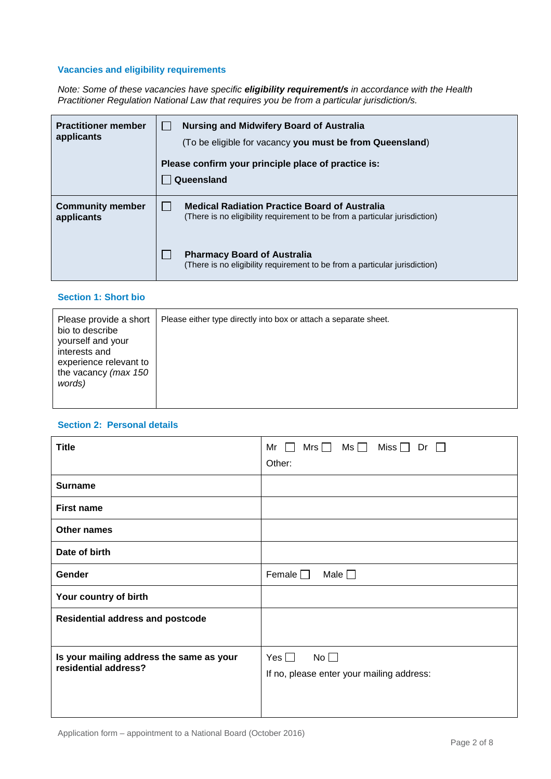## **Vacancies and eligibility requirements**

*Note: Some of these vacancies have specific eligibility requirement/s in accordance with the Health Practitioner Regulation National Law that requires you be from a particular jurisdiction/s.*

| <b>Practitioner member</b><br>applicants | Nursing and Midwifery Board of Australia<br>(To be eligible for vacancy you must be from Queensland)<br>Please confirm your principle place of practice is:<br>Queensland |  |  |
|------------------------------------------|---------------------------------------------------------------------------------------------------------------------------------------------------------------------------|--|--|
| <b>Community member</b><br>applicants    | <b>Medical Radiation Practice Board of Australia</b><br>(There is no eligibility requirement to be from a particular jurisdiction)                                        |  |  |
|                                          | <b>Pharmacy Board of Australia</b><br>(There is no eligibility requirement to be from a particular jurisdiction)                                                          |  |  |

#### **Section 1: Short bio**

| Please provide a short<br>bio to describe<br>yourself and your<br>interests and<br>experience relevant to<br>the vacancy (max 150<br>words) | Please either type directly into box or attach a separate sheet. |
|---------------------------------------------------------------------------------------------------------------------------------------------|------------------------------------------------------------------|
|---------------------------------------------------------------------------------------------------------------------------------------------|------------------------------------------------------------------|

#### **Section 2: Personal details**

| <b>Title</b>                                                     | Mrs $\Box$<br>Ms $\Box$<br>Miss $\Box$<br>Mr l<br>$Dr \Box$ |  |
|------------------------------------------------------------------|-------------------------------------------------------------|--|
|                                                                  | Other:                                                      |  |
| <b>Surname</b>                                                   |                                                             |  |
| <b>First name</b>                                                |                                                             |  |
| <b>Other names</b>                                               |                                                             |  |
| Date of birth                                                    |                                                             |  |
| Gender                                                           | Female $\Box$<br>Male $\square$                             |  |
| Your country of birth                                            |                                                             |  |
| <b>Residential address and postcode</b>                          |                                                             |  |
|                                                                  |                                                             |  |
| Is your mailing address the same as your<br>residential address? | No $\square$<br>Yes $\Box$                                  |  |
|                                                                  | If no, please enter your mailing address:                   |  |
|                                                                  |                                                             |  |
|                                                                  |                                                             |  |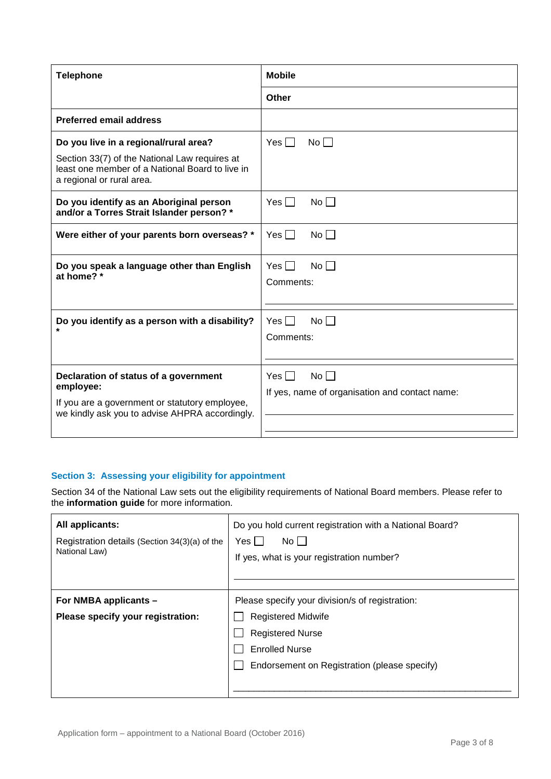| <b>Telephone</b>                                                                                                                                                       | <b>Mobile</b>                                                   |
|------------------------------------------------------------------------------------------------------------------------------------------------------------------------|-----------------------------------------------------------------|
|                                                                                                                                                                        | <b>Other</b>                                                    |
| <b>Preferred email address</b>                                                                                                                                         |                                                                 |
| Do you live in a regional/rural area?<br>Section 33(7) of the National Law requires at<br>least one member of a National Board to live in<br>a regional or rural area. | Yes $\Box$<br>$No \Box$                                         |
| Do you identify as an Aboriginal person<br>and/or a Torres Strait Islander person? *                                                                                   | Yes $\Box$<br>$No \Box$                                         |
| Were either of your parents born overseas? *                                                                                                                           | No<br>$Yes \mid \mid$                                           |
| Do you speak a language other than English<br>at home? *                                                                                                               | $Yes \BoxNo \BoxComments:$                                      |
| Do you identify as a person with a disability?                                                                                                                         | Yes $\Box$<br>No H<br>Comments:                                 |
| Declaration of status of a government<br>employee:<br>If you are a government or statutory employee,<br>we kindly ask you to advise AHPRA accordingly.                 | $No \BoxYes \BoxIf yes, name of organisation and contact name:$ |

#### **Section 3: Assessing your eligibility for appointment**

Section 34 of the National Law sets out the eligibility requirements of National Board members. Please refer to the **information guide** for more information.

| All applicants:<br>Registration details (Section 34(3)(a) of the<br>National Law) | Do you hold current registration with a National Board?<br>Yes  <br>$No$    <br>If yes, what is your registration number? |
|-----------------------------------------------------------------------------------|---------------------------------------------------------------------------------------------------------------------------|
| For NMBA applicants -                                                             | Please specify your division/s of registration:                                                                           |
| Please specify your registration:                                                 | <b>Registered Midwife</b>                                                                                                 |
|                                                                                   | <b>Registered Nurse</b>                                                                                                   |
|                                                                                   | <b>Enrolled Nurse</b>                                                                                                     |
|                                                                                   | Endorsement on Registration (please specify)                                                                              |
|                                                                                   |                                                                                                                           |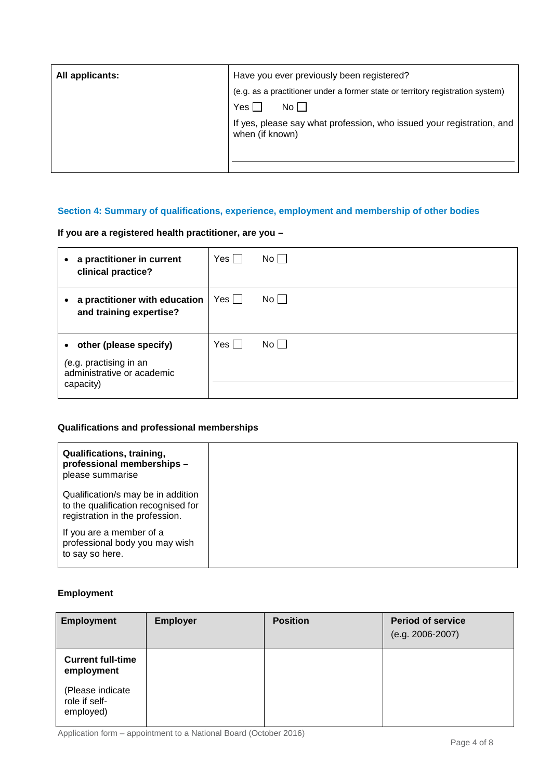| All applicants: | Have you ever previously been registered?                                                |
|-----------------|------------------------------------------------------------------------------------------|
|                 | (e.g. as a practitioner under a former state or territory registration system)           |
|                 | Yes  <br>No II                                                                           |
|                 | If yes, please say what profession, who issued your registration, and<br>when (if known) |
|                 |                                                                                          |
|                 |                                                                                          |

### **Section 4: Summary of qualifications, experience, employment and membership of other bodies**

**If you are a registered health practitioner, are you –**

| • a practitioner in current<br>clinical practice?                                             | Yes $\Box$ | $No \Box$ |
|-----------------------------------------------------------------------------------------------|------------|-----------|
| a practitioner with education<br>$\bullet$<br>and training expertise?                         | $Yes$      | $No$      |
| • other (please specify)<br>(e.g. practising in an<br>administrative or academic<br>capacity) | Yes        | $No$      |

## **Qualifications and professional memberships**

| Qualifications, training,<br>professional memberships -<br>please summarise                                  |
|--------------------------------------------------------------------------------------------------------------|
| Qualification/s may be in addition<br>to the qualification recognised for<br>registration in the profession. |
| If you are a member of a<br>professional body you may wish<br>to say so here.                                |

## **Employment**

| <b>Employment</b>                              | <b>Employer</b> | <b>Position</b> | <b>Period of service</b><br>$(e.g. 2006 - 2007)$ |
|------------------------------------------------|-----------------|-----------------|--------------------------------------------------|
| <b>Current full-time</b><br>employment         |                 |                 |                                                  |
| (Please indicate<br>role if self-<br>employed) |                 |                 |                                                  |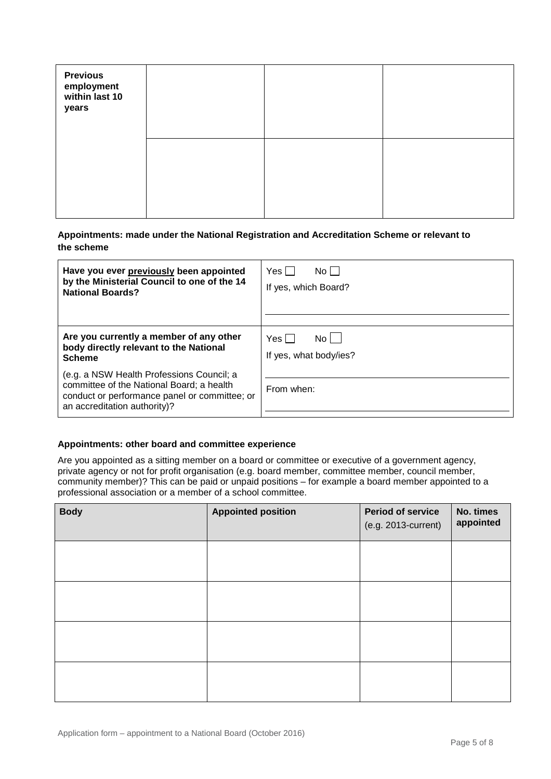| <b>Previous<br/>employment<br/>within last 10</b><br>years |  |  |
|------------------------------------------------------------|--|--|
|                                                            |  |  |

#### **Appointments: made under the National Registration and Accreditation Scheme or relevant to the scheme**

| Have you ever previously been appointed                                                                                                                                 | Yes II                 |
|-------------------------------------------------------------------------------------------------------------------------------------------------------------------------|------------------------|
| by the Ministerial Council to one of the 14                                                                                                                             | No II                  |
| <b>National Boards?</b>                                                                                                                                                 | If yes, which Board?   |
| Are you currently a member of any other                                                                                                                                 | Yes I                  |
| body directly relevant to the National                                                                                                                                  | No l                   |
| <b>Scheme</b>                                                                                                                                                           | If yes, what body/ies? |
| (e.g. a NSW Health Professions Council; a<br>committee of the National Board; a health<br>conduct or performance panel or committee; or<br>an accreditation authority)? | From when:             |

#### **Appointments: other board and committee experience**

Are you appointed as a sitting member on a board or committee or executive of a government agency, private agency or not for profit organisation (e.g. board member, committee member, council member, community member)? This can be paid or unpaid positions – for example a board member appointed to a professional association or a member of a school committee.

| <b>Body</b> | <b>Appointed position</b> | <b>Period of service</b><br>(e.g. 2013-current) | No. times<br>appointed |
|-------------|---------------------------|-------------------------------------------------|------------------------|
|             |                           |                                                 |                        |
|             |                           |                                                 |                        |
|             |                           |                                                 |                        |
|             |                           |                                                 |                        |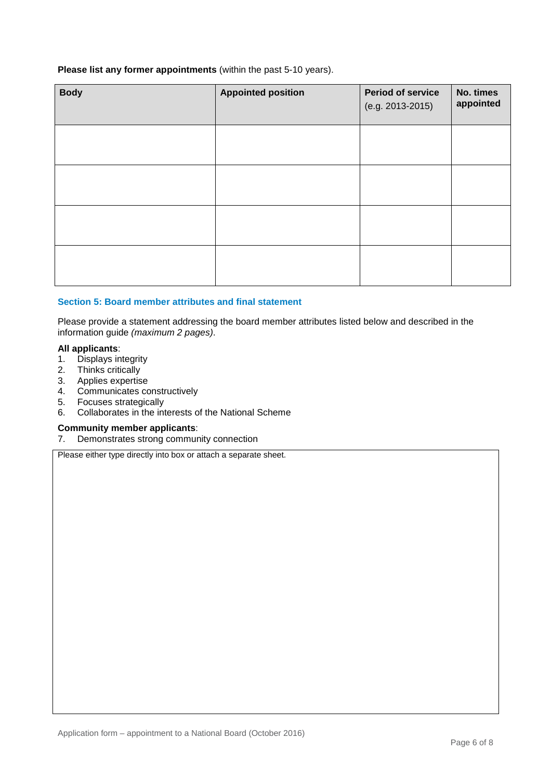**Please list any former appointments** (within the past 5-10 years).

| <b>Body</b> | <b>Appointed position</b> | <b>Period of service</b><br>(e.g. 2013-2015) | No. times<br>appointed |
|-------------|---------------------------|----------------------------------------------|------------------------|
|             |                           |                                              |                        |
|             |                           |                                              |                        |
|             |                           |                                              |                        |
|             |                           |                                              |                        |

#### **Section 5: Board member attributes and final statement**

Please provide a statement addressing the board member attributes listed below and described in the information guide *(maximum 2 pages)*.

#### **All applicants**:

- 1. Displays integrity<br>2. Thinks critically
- Thinks critically
- 3. Applies expertise
- 4. Communicates constructively
- 5. Focuses strategically
- 6. Collaborates in the interests of the National Scheme

# **Community member applicants:**<br>7. Demonstrates strong communi

Demonstrates strong community connection

Please either type directly into box or attach a separate sheet.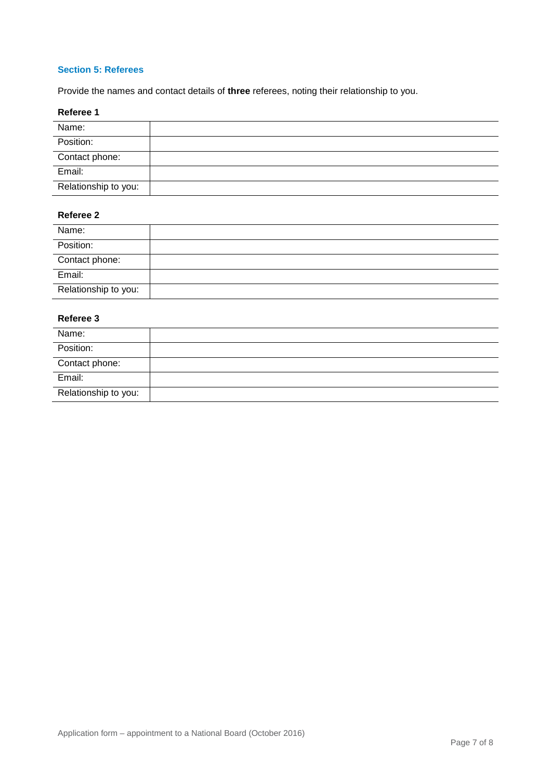#### **Section 5: Referees**

Provide the names and contact details of **three** referees, noting their relationship to you.

#### **Referee 1**

| Name:                |  |
|----------------------|--|
| Position:            |  |
| Contact phone:       |  |
| Email:               |  |
| Relationship to you: |  |

#### **Referee 2**

| Name:                |  |
|----------------------|--|
| Position:            |  |
| Contact phone:       |  |
| Email:               |  |
| Relationship to you: |  |

#### **Referee 3**

| Name:                |  |
|----------------------|--|
| Position:            |  |
| Contact phone:       |  |
| Email:               |  |
| Relationship to you: |  |